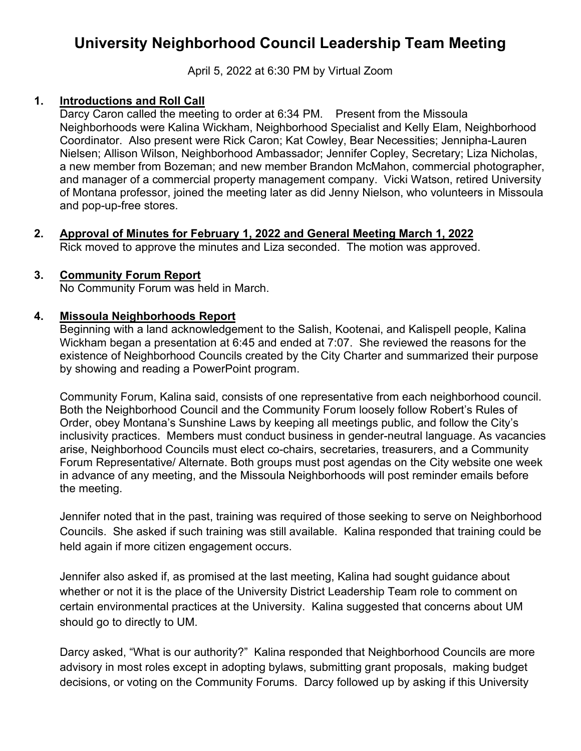# **University Neighborhood Council Leadership Team Meeting**

April 5, 2022 at 6:30 PM by Virtual Zoom

## **1. Introductions and Roll Call**

Darcy Caron called the meeting to order at 6:34 PM. Present from the Missoula Neighborhoods were Kalina Wickham, Neighborhood Specialist and Kelly Elam, Neighborhood Coordinator. Also present were Rick Caron; Kat Cowley, Bear Necessities; Jennipha-Lauren Nielsen; Allison Wilson, Neighborhood Ambassador; Jennifer Copley, Secretary; Liza Nicholas, a new member from Bozeman; and new member Brandon McMahon, commercial photographer, and manager of a commercial property management company. Vicki Watson, retired University of Montana professor, joined the meeting later as did Jenny Nielson, who volunteers in Missoula and pop-up-free stores.

**2. Approval of Minutes for February 1, 2022 and General Meeting March 1, 2022** Rick moved to approve the minutes and Liza seconded. The motion was approved.

#### **3. Community Forum Report**

No Community Forum was held in March.

#### **4. Missoula Neighborhoods Report**

Beginning with a land acknowledgement to the Salish, Kootenai, and Kalispell people, Kalina Wickham began a presentation at 6:45 and ended at 7:07. She reviewed the reasons for the existence of Neighborhood Councils created by the City Charter and summarized their purpose by showing and reading a PowerPoint program.

Community Forum, Kalina said, consists of one representative from each neighborhood council. Both the Neighborhood Council and the Community Forum loosely follow Robert's Rules of Order, obey Montana's Sunshine Laws by keeping all meetings public, and follow the City's inclusivity practices. Members must conduct business in gender-neutral language. As vacancies arise, Neighborhood Councils must elect co-chairs, secretaries, treasurers, and a Community Forum Representative/ Alternate. Both groups must post agendas on the City website one week in advance of any meeting, and the Missoula Neighborhoods will post reminder emails before the meeting.

Jennifer noted that in the past, training was required of those seeking to serve on Neighborhood Councils. She asked if such training was still available. Kalina responded that training could be held again if more citizen engagement occurs.

Jennifer also asked if, as promised at the last meeting, Kalina had sought guidance about whether or not it is the place of the University District Leadership Team role to comment on certain environmental practices at the University. Kalina suggested that concerns about UM should go to directly to UM.

Darcy asked, "What is our authority?" Kalina responded that Neighborhood Councils are more advisory in most roles except in adopting bylaws, submitting grant proposals, making budget decisions, or voting on the Community Forums. Darcy followed up by asking if this University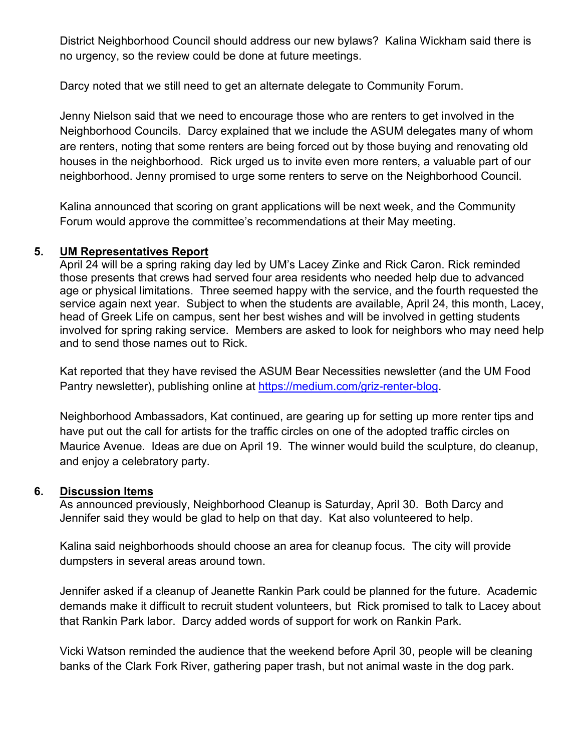District Neighborhood Council should address our new bylaws? Kalina Wickham said there is no urgency, so the review could be done at future meetings.

Darcy noted that we still need to get an alternate delegate to Community Forum.

Jenny Nielson said that we need to encourage those who are renters to get involved in the Neighborhood Councils. Darcy explained that we include the ASUM delegates many of whom are renters, noting that some renters are being forced out by those buying and renovating old houses in the neighborhood. Rick urged us to invite even more renters, a valuable part of our neighborhood. Jenny promised to urge some renters to serve on the Neighborhood Council.

Kalina announced that scoring on grant applications will be next week, and the Community Forum would approve the committee's recommendations at their May meeting.

#### **5. UM Representatives Report**

April 24 will be a spring raking day led by UM's Lacey Zinke and Rick Caron. Rick reminded those presents that crews had served four area residents who needed help due to advanced age or physical limitations. Three seemed happy with the service, and the fourth requested the service again next year. Subject to when the students are available, April 24, this month, Lacey, head of Greek Life on campus, sent her best wishes and will be involved in getting students involved for spring raking service. Members are asked to look for neighbors who may need help and to send those names out to Rick.

Kat reported that they have revised the ASUM Bear Necessities newsletter (and the UM Food Pantry newsletter), publishing online at [https://medium.com/griz-renter-blog.](https://medium.com/griz-renter-blog)

Neighborhood Ambassadors, Kat continued, are gearing up for setting up more renter tips and have put out the call for artists for the traffic circles on one of the adopted traffic circles on Maurice Avenue. Ideas are due on April 19. The winner would build the sculpture, do cleanup, and enjoy a celebratory party.

### **6. Discussion Items**

As announced previously, Neighborhood Cleanup is Saturday, April 30. Both Darcy and Jennifer said they would be glad to help on that day. Kat also volunteered to help.

Kalina said neighborhoods should choose an area for cleanup focus. The city will provide dumpsters in several areas around town.

Jennifer asked if a cleanup of Jeanette Rankin Park could be planned for the future. Academic demands make it difficult to recruit student volunteers, but Rick promised to talk to Lacey about that Rankin Park labor. Darcy added words of support for work on Rankin Park.

Vicki Watson reminded the audience that the weekend before April 30, people will be cleaning banks of the Clark Fork River, gathering paper trash, but not animal waste in the dog park.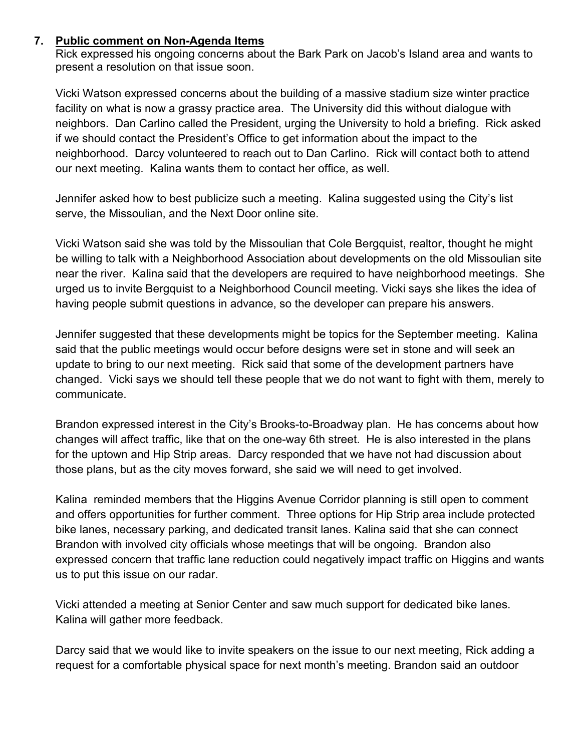### **7. Public comment on Non-Agenda Items**

Rick expressed his ongoing concerns about the Bark Park on Jacob's Island area and wants to present a resolution on that issue soon.

Vicki Watson expressed concerns about the building of a massive stadium size winter practice facility on what is now a grassy practice area. The University did this without dialogue with neighbors. Dan Carlino called the President, urging the University to hold a briefing. Rick asked if we should contact the President's Office to get information about the impact to the neighborhood. Darcy volunteered to reach out to Dan Carlino. Rick will contact both to attend our next meeting. Kalina wants them to contact her office, as well.

Jennifer asked how to best publicize such a meeting. Kalina suggested using the City's list serve, the Missoulian, and the Next Door online site.

Vicki Watson said she was told by the Missoulian that Cole Bergquist, realtor, thought he might be willing to talk with a Neighborhood Association about developments on the old Missoulian site near the river. Kalina said that the developers are required to have neighborhood meetings. She urged us to invite Bergquist to a Neighborhood Council meeting. Vicki says she likes the idea of having people submit questions in advance, so the developer can prepare his answers.

Jennifer suggested that these developments might be topics for the September meeting. Kalina said that the public meetings would occur before designs were set in stone and will seek an update to bring to our next meeting. Rick said that some of the development partners have changed. Vicki says we should tell these people that we do not want to fight with them, merely to communicate.

Brandon expressed interest in the City's Brooks-to-Broadway plan. He has concerns about how changes will affect traffic, like that on the one-way 6th street. He is also interested in the plans for the uptown and Hip Strip areas. Darcy responded that we have not had discussion about those plans, but as the city moves forward, she said we will need to get involved.

Kalina reminded members that the Higgins Avenue Corridor planning is still open to comment and offers opportunities for further comment. Three options for Hip Strip area include protected bike lanes, necessary parking, and dedicated transit lanes. Kalina said that she can connect Brandon with involved city officials whose meetings that will be ongoing. Brandon also expressed concern that traffic lane reduction could negatively impact traffic on Higgins and wants us to put this issue on our radar.

Vicki attended a meeting at Senior Center and saw much support for dedicated bike lanes. Kalina will gather more feedback.

Darcy said that we would like to invite speakers on the issue to our next meeting, Rick adding a request for a comfortable physical space for next month's meeting. Brandon said an outdoor